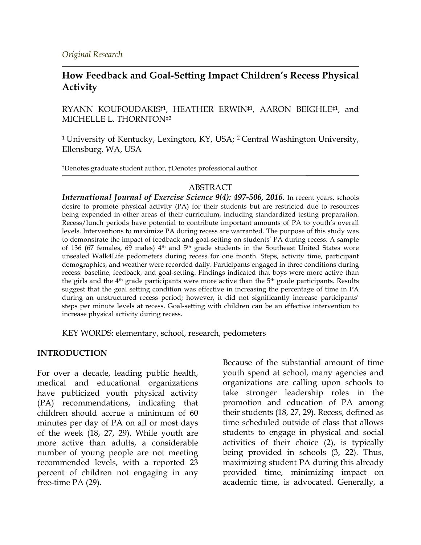## **How Feedback and Goal-Setting Impact Children's Recess Physical Activity**

RYANN KOUFOUDAKIS†1, HEATHER ERWIN‡1, AARON BEIGHLE‡1, and MICHELLE L. THORNTON‡2

1 University of Kentucky, Lexington, KY, USA; 2 Central Washington University, Ellensburg, WA, USA

†Denotes graduate student author, ‡Denotes professional author

#### ABSTRACT

*International Journal of Exercise Science 9(4): 497-506, 2016.* In recent years, schools desire to promote physical activity (PA) for their students but are restricted due to resources being expended in other areas of their curriculum, including standardized testing preparation. Recess/lunch periods have potential to contribute important amounts of PA to youth's overall levels. Interventions to maximize PA during recess are warranted. The purpose of this study was to demonstrate the impact of feedback and goal-setting on students' PA during recess. A sample of 136 (67 females, 69 males) 4th and 5th grade students in the Southeast United States wore unsealed Walk4Life pedometers during recess for one month. Steps, activity time, participant demographics, and weather were recorded daily. Participants engaged in three conditions during recess: baseline, feedback, and goal-setting. Findings indicated that boys were more active than the girls and the  $4<sup>th</sup>$  grade participants were more active than the  $5<sup>th</sup>$  grade participants. Results suggest that the goal setting condition was effective in increasing the percentage of time in PA during an unstructured recess period; however, it did not significantly increase participants' steps per minute levels at recess. Goal-setting with children can be an effective intervention to increase physical activity during recess.

KEY WORDS: elementary, school, research, pedometers

#### **INTRODUCTION**

For over a decade, leading public health, medical and educational organizations have publicized youth physical activity (PA) recommendations, indicating that children should accrue a minimum of 60 minutes per day of PA on all or most days of the week (18, 27, 29). While youth are more active than adults, a considerable number of young people are not meeting recommended levels, with a reported 23 percent of children not engaging in any free-time PA (29).

Because of the substantial amount of time youth spend at school, many agencies and organizations are calling upon schools to take stronger leadership roles in the promotion and education of PA among their students (18, 27, 29). Recess, defined as time scheduled outside of class that allows students to engage in physical and social activities of their choice (2), is typically being provided in schools (3, 22). Thus, maximizing student PA during this already provided time, minimizing impact on academic time, is advocated. Generally, a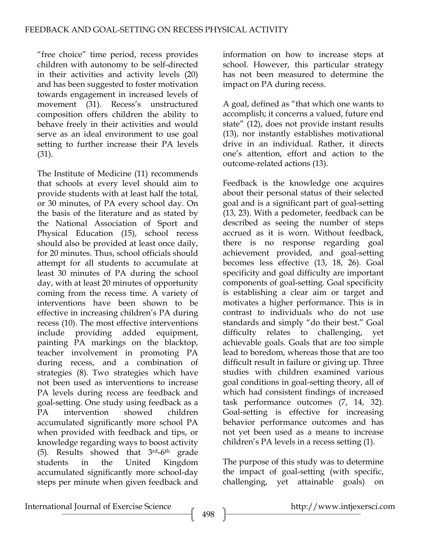"free choice" time period, recess provides children with autonomy to be self-directed in their activities and activity levels (20) and has been suggested to foster motivation towards engagement in increased levels of movement (31). Recess's unstructured composition offers children the ability to behave freely in their activities and would serve as an ideal environment to use goal setting to further increase their PA levels (31).

The Institute of Medicine (11) recommends that schools at every level should aim to provide students with at least half the total, or 30 minutes, of PA every school day. On the basis of the literature and as stated by the National Association of Sport and Physical Education (15), school recess should also be provided at least once daily, for 20 minutes. Thus, school officials should attempt for all students to accumulate at least 30 minutes of PA during the school day, with at least 20 minutes of opportunity coming from the recess time. A variety of interventions have been shown to be effective in increasing children's PA during recess (10). The most effective interventions include providing added equipment, painting PA markings on the blacktop, teacher involvement in promoting PA during recess, and a combination of strategies (8). Two strategies which have not been used as interventions to increase PA levels during recess are feedback and goal-setting. One study using feedback as a PA intervention showed children accumulated significantly more school PA when provided with feedback and tips, or knowledge regarding ways to boost activity (5). Results showed that  $3<sup>rd</sup>-6<sup>th</sup>$  grade students in the United Kingdom accumulated significantly more school-day steps per minute when given feedback and information on how to increase steps at school. However, this particular strategy has not been measured to determine the impact on PA during recess.

A goal, defined as "that which one wants to accomplish; it concerns a valued, future end state" (12), does not provide instant results (13), nor instantly establishes motivational drive in an individual. Rather, it directs one's attention, effort and action to the outcome-related actions (13).

Feedback is the knowledge one acquires about their personal status of their selected goal and is a significant part of goal-setting (13, 23). With a pedometer, feedback can be described as seeing the number of steps accrued as it is worn. Without feedback, there is no response regarding goal achievement provided, and goal-setting becomes less effective (13, 18, 26). Goal specificity and goal difficulty are important components of goal-setting. Goal specificity is establishing a clear aim or target and motivates a higher performance. This is in contrast to individuals who do not use standards and simply "do their best." Goal difficulty relates to challenging, yet achievable goals. Goals that are too simple lead to boredom, whereas those that are too difficult result in failure or giving up. Three studies with children examined various goal conditions in goal-setting theory, all of which had consistent findings of increased task performance outcomes (7, 14, 32). Goal-setting is effective for increasing behavior performance outcomes and has not yet been used as a means to increase children's PA levels in a recess setting (1).

The purpose of this study was to determine the impact of goal-setting (with specific, challenging, yet attainable goals) on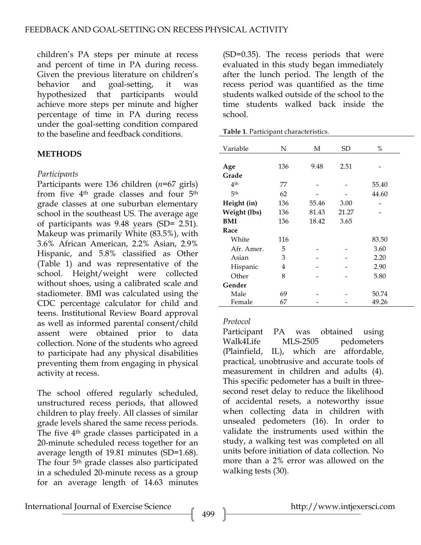children's PA steps per minute at recess and percent of time in PA during recess. Given the previous literature on children's behavior and goal-setting, it was hypothesized that participants would achieve more steps per minute and higher percentage of time in PA during recess under the goal-setting condition compared to the baseline and feedback conditions.

### **METHODS**

#### *Participants*

Participants were 136 children (*n*=67 girls) from five 4<sup>th</sup> grade classes and four 5<sup>th</sup> grade classes at one suburban elementary school in the southeast US. The average age of participants was 9.48 years (SD= 2.51). Makeup was primarily White (83.5%), with 3.6% African American, 2.2% Asian, 2.9% Hispanic, and 5.8% classified as Other (Table 1) and was representative of the school. Height/weight were collected without shoes, using a calibrated scale and stadiometer. BMI was calculated using the CDC percentage calculator for child and teens. Institutional Review Board approval as well as informed parental consent/child assent were obtained prior to data collection. None of the students who agreed to participate had any physical disabilities preventing them from engaging in physical activity at recess.

The school offered regularly scheduled, unstructured recess periods, that allowed children to play freely. All classes of similar grade levels shared the same recess periods. The five 4th grade classes participated in a 20-minute scheduled recess together for an average length of 19.81 minutes (SD=1.68). The four 5<sup>th</sup> grade classes also participated in a scheduled 20-minute recess as a group for an average length of 14.63 minutes

(SD=0.35). The recess periods that were evaluated in this study began immediately after the lunch period. The length of the recess period was quantified as the time students walked outside of the school to the time students walked back inside the school.

|  | Table 1. Participant characteristics. |
|--|---------------------------------------|
|  |                                       |

| Variable        | N   | М     | SD    | %     |
|-----------------|-----|-------|-------|-------|
|                 |     |       |       |       |
| Age             | 136 | 9.48  | 2.51  |       |
| Grade           |     |       |       |       |
| 4 <sup>th</sup> | 77  |       |       | 55.40 |
| 5 <sup>th</sup> | 62  |       |       | 44.60 |
| Height (in)     | 136 | 55.46 | 3.00  |       |
| Weight (lbs)    | 136 | 81.43 | 21.27 |       |
| BMI             | 136 | 18.42 | 3.65  |       |
| Race            |     |       |       |       |
| White           | 116 |       |       | 83.50 |
| Afr. Amer.      | 5   |       |       | 3.60  |
| Asian           | 3   |       |       | 2.20  |
| Hispanic        | 4   |       |       | 2.90  |
| Other           | 8   |       |       | 5.80  |
| Gender          |     |       |       |       |
| Male            | 69  |       |       | 50.74 |
| Female          | 67  |       |       | 49.26 |

#### *Protocol*

Participant PA was obtained using Walk4Life MLS-2505 pedometers (Plainfield, IL), which are affordable, practical, unobtrusive and accurate tools of measurement in children and adults (4). This specific pedometer has a built in threesecond reset delay to reduce the likelihood of accidental resets, a noteworthy issue when collecting data in children with unsealed pedometers (16). In order to validate the instruments used within the study, a walking test was completed on all units before initiation of data collection. No more than a 2% error was allowed on the walking tests (30).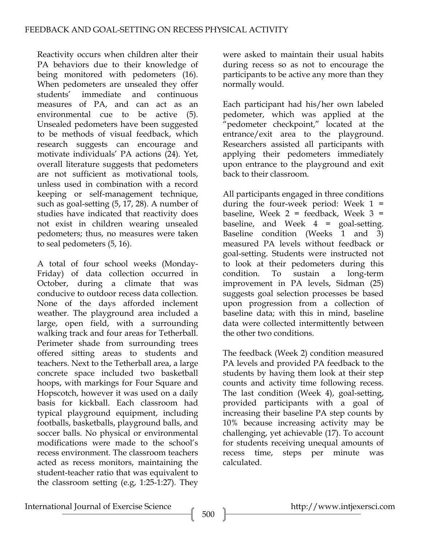Reactivity occurs when children alter their PA behaviors due to their knowledge of being monitored with pedometers (16). When pedometers are unsealed they offer students' immediate and continuous measures of PA, and can act as an environmental cue to be active (5). Unsealed pedometers have been suggested to be methods of visual feedback, which research suggests can encourage and motivate individuals' PA actions (24). Yet, overall literature suggests that pedometers are not sufficient as motivational tools, unless used in combination with a record keeping or self-management technique, such as goal-setting (5, 17, 28). A number of studies have indicated that reactivity does not exist in children wearing unsealed pedometers; thus, no measures were taken to seal pedometers (5, 16).

A total of four school weeks (Monday-Friday) of data collection occurred in October, during a climate that was conducive to outdoor recess data collection. None of the days afforded inclement weather. The playground area included a large, open field, with a surrounding walking track and four areas for Tetherball. Perimeter shade from surrounding trees offered sitting areas to students and teachers. Next to the Tetherball area, a large concrete space included two basketball hoops, with markings for Four Square and Hopscotch, however it was used on a daily basis for kickball. Each classroom had typical playground equipment, including footballs, basketballs, playground balls, and soccer balls. No physical or environmental modifications were made to the school's recess environment. The classroom teachers acted as recess monitors, maintaining the student-teacher ratio that was equivalent to the classroom setting (e.g, 1:25-1:27). They

were asked to maintain their usual habits during recess so as not to encourage the participants to be active any more than they normally would.

Each participant had his/her own labeled pedometer, which was applied at the "pedometer checkpoint," located at the entrance/exit area to the playground. Researchers assisted all participants with applying their pedometers immediately upon entrance to the playground and exit back to their classroom.

All participants engaged in three conditions during the four-week period: Week  $1 =$ baseline, Week  $2 = \text{feedback}$ , Week  $3 =$ baseline, and Week  $4 = \text{goal-setting.}$ Baseline condition (Weeks 1 and 3) measured PA levels without feedback or goal-setting. Students were instructed not to look at their pedometers during this condition. To sustain a long-term improvement in PA levels, Sidman (25) suggests goal selection processes be based upon progression from a collection of baseline data; with this in mind, baseline data were collected intermittently between the other two conditions.

The feedback (Week 2) condition measured PA levels and provided PA feedback to the students by having them look at their step counts and activity time following recess. The last condition (Week 4), goal-setting, provided participants with a goal of increasing their baseline PA step counts by 10% because increasing activity may be challenging, yet achievable (17). To account for students receiving unequal amounts of recess time, steps per minute was calculated.

International Journal of Exercise Science http://www.intjexersci.com http://www.intjexersci.com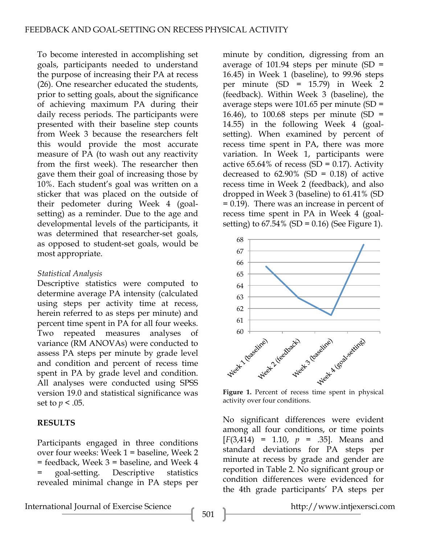To become interested in accomplishing set goals, participants needed to understand the purpose of increasing their PA at recess (26). One researcher educated the students, prior to setting goals, about the significance of achieving maximum PA during their daily recess periods. The participants were presented with their baseline step counts from Week 3 because the researchers felt this would provide the most accurate measure of PA (to wash out any reactivity from the first week). The researcher then gave them their goal of increasing those by 10%. Each student's goal was written on a sticker that was placed on the outside of their pedometer during Week 4 (goalsetting) as a reminder. Due to the age and developmental levels of the participants, it was determined that researcher-set goals, as opposed to student-set goals, would be most appropriate.

### *Statistical Analysis*

Descriptive statistics were computed to determine average PA intensity (calculated using steps per activity time at recess, herein referred to as steps per minute) and percent time spent in PA for all four weeks. Two repeated measures analyses of variance (RM ANOVAs) were conducted to assess PA steps per minute by grade level and condition and percent of recess time spent in PA by grade level and condition. All analyses were conducted using SPSS version 19.0 and statistical significance was set to *p* < .05.

## **RESULTS**

Participants engaged in three conditions over four weeks: Week 1 = baseline, Week 2 = feedback, Week 3 = baseline, and Week 4 = goal-setting. Descriptive statistics revealed minimal change in PA steps per minute by condition, digressing from an average of 101.94 steps per minute  $(SD =$ 16.45) in Week 1 (baseline), to 99.96 steps per minute (SD = 15.79) in Week 2 (feedback). Within Week 3 (baseline), the average steps were 101.65 per minute (SD = 16.46), to 100.68 steps per minute  $(SD =$ 14.55) in the following Week 4 (goalsetting). When examined by percent of recess time spent in PA, there was more variation. In Week 1, participants were active  $65.64\%$  of recess (SD = 0.17). Activity decreased to  $62.90\%$  (SD = 0.18) of active recess time in Week 2 (feedback), and also dropped in Week 3 (baseline) to 61.41% (SD = 0.19). There was an increase in percent of recess time spent in PA in Week 4 (goalsetting) to  $67.54\%$  (SD = 0.16) (See Figure 1).



activity over four conditions.

No significant differences were evident among all four conditions, or time points  $[F(3,414) = 1.10, p = .35]$ . Means and standard deviations for PA steps per minute at recess by grade and gender are reported in Table 2. No significant group or condition differences were evidenced for the 4th grade participants' PA steps per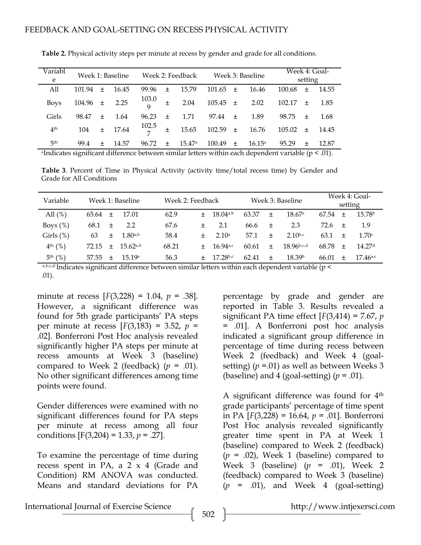| Variabl<br>e    | Week 1: Baseline |       |             | Week 2: Feedback  |       |                 | Week 3: Baseline |    |                 | Week 4: Goal-<br>setting |        |       |
|-----------------|------------------|-------|-------------|-------------------|-------|-----------------|------------------|----|-----------------|--------------------------|--------|-------|
| All             | 101.94           | $+$   | 16.45       | 99.96             | $+$   | 15.79           | $101.65 \pm$     |    | 16.46           | 100.68                   | $\pm$  | 14.55 |
| <b>Boys</b>     | $104.96 \pm$     |       | 2.25        | $\frac{103.0}{9}$ | $\pm$ | 2.04            | $105.45 \pm$     |    | 2.02            | $102.17 \pm$             |        | 1.85  |
| Girls           | 98.47            | $\pm$ | 1.64        | 96.23             | $\pm$ | 1.71            | 97.44 $\pm$      |    | 1.89            | 98.75                    | $\pm$  | 1.68  |
| 4 <sup>th</sup> | 104              |       | $\pm$ 17.64 | $\frac{102.5}{7}$ | $\pm$ | 15.65           | $102.59 \pm$     |    | 16.76           | $105.02 \pm 14.45$       |        |       |
| 5 <sup>th</sup> | 99.4             | $+$   | 14.57       | 96.72             | $+$   | $15.47^{\circ}$ | 100.49           | 土土 | $16.15^{\circ}$ | 95.29                    | $^{+}$ | 12.87 |

**Table 2.** Physical activity steps per minute at recess by gender and grade for all conditions.

<sup>a</sup>Indicates significant difference between similar letters within each dependent variable ( $p < .01$ ).

**Table 3**. Percent of Time in Physical Activity (activity time/total recess time) by Gender and Grade for All Conditions

| Variable       |       |        | Week 1: Baseline |       | Week 2: Feedback |                        | Week 3: Baseline |                |                    | Week 4: Goal-<br>setting |        |                        |
|----------------|-------|--------|------------------|-------|------------------|------------------------|------------------|----------------|--------------------|--------------------------|--------|------------------------|
| All $(\%)$     | 65.64 | $^{+}$ | 17.01            | 62.9  | $^{+}$           | 18.04a,b               | 63.37            | $^{+}$         | 18.67 <sup>a</sup> | 67.54                    | $^{+}$ | 15.78 <sup>b</sup>     |
| Boys $(\%)$    | 68.1  | $^{+}$ | 2.2              | 67.6  | $^+$             | 2.1                    | 66.6             | $\overline{+}$ | 2.3                | 72.6                     | $+$    | 1.9                    |
| Girls $(\%)$   | 63    | $^{+}$ | $1.80^{a,b}$     | 58.4  | $^+$             | 2.10 <sup>a</sup>      | 57.1             | $^{+}$         | $2.10^{b,c}$       | 63.1                     | $+$    | 1.70c                  |
| $4^{th}$ (%)   | 72.15 | $+$    | 15.62a,b         | 68.21 | $+$              | 16 $94a$ <sub>c</sub>  | 60.61            | $\pm$          | $18.96^{b,c,d}$    | 68.78                    | $^{+}$ | 14.27 <sup>d</sup>     |
| $5^{th}$ $(%)$ | 57.55 | $+$    | 15.19a           | 56.3  | $+$              | $17.28$ <sub>b,c</sub> | 62.41            | $^{+}$         | 18.39 <sup>b</sup> | 66.01                    |        | $17.46$ <sup>a,c</sup> |

a,b,c,d Indicates significant difference between similar letters within each dependent variable (p < .01).

minute at recess [*F*(3,228) = 1.04, *p* = .38]. However, a significant difference was found for 5th grade participants' PA steps per minute at recess  $[F(3,183) = 3.52, p =$ .02]. Bonferroni Post Hoc analysis revealed significantly higher PA steps per minute at recess amounts at Week 3 (baseline) compared to Week 2 (feedback)  $(p = .01)$ . No other significant differences among time points were found.

Gender differences were examined with no significant differences found for PA steps per minute at recess among all four conditions [F(3,204) = 1.33, *p* = .27].

To examine the percentage of time during recess spent in PA, a  $2 \times 4$  (Grade and Condition) RM ANOVA was conducted. Means and standard deviations for PA

percentage by grade and gender are reported in Table 3. Results revealed a significant PA time effect [*F*(3,414) = 7.67, *p* = .01]. A Bonferroni post hoc analysis indicated a significant group difference in percentage of time during recess between Week 2 (feedback) and Week 4 (goalsetting) (*p* =.01) as well as between Weeks 3 (baseline) and 4 (goal-setting)  $(p = .01)$ .

A significant difference was found for 4th grade participants' percentage of time spent in PA [*F*(3,228) = 16.64, *p* = .01]. Bonferroni Post Hoc analysis revealed significantly greater time spent in PA at Week 1 (baseline) compared to Week 2 (feedback)  $(p = .02)$ , Week 1 (baseline) compared to Week 3 (baseline) (*p* = .01), Week 2 (feedback) compared to Week 3 (baseline)  $(p = .01)$ , and Week 4 (goal-setting)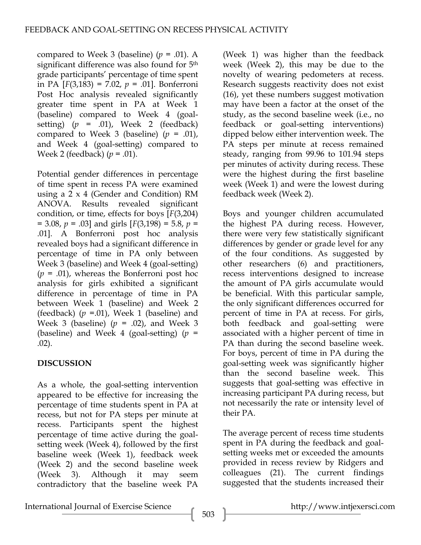compared to Week 3 (baseline)  $(p = .01)$ . A significant difference was also found for  $5<sup>th</sup>$ grade participants' percentage of time spent in PA [*F*(3,183) = 7.02, *p* = .01]. Bonferroni Post Hoc analysis revealed significantly greater time spent in PA at Week 1 (baseline) compared to Week 4 (goalsetting)  $(p = .01)$ , Week 2 (feedback) compared to Week 3 (baseline)  $(p = .01)$ , and Week 4 (goal-setting) compared to Week 2 (feedback) (*p* = .01).

Potential gender differences in percentage of time spent in recess PA were examined using a 2 x 4 (Gender and Condition) RM ANOVA. Results revealed significant condition, or time, effects for boys [*F*(3,204) = 3.08, *p* = .03] and girls [*F*(3,198) = 5.8, *p* = .01]. A Bonferroni post hoc analysis revealed boys had a significant difference in percentage of time in PA only between Week 3 (baseline) and Week 4 (goal-setting) (*p* = .01), whereas the Bonferroni post hoc analysis for girls exhibited a significant difference in percentage of time in PA between Week 1 (baseline) and Week 2 (feedback)  $(p = .01)$ , Week 1 (baseline) and Week 3 (baseline) (*p* = .02), and Week 3 (baseline) and Week 4 (goal-setting) (*p* = .02).

# **DISCUSSION**

As a whole, the goal-setting intervention appeared to be effective for increasing the percentage of time students spent in PA at recess, but not for PA steps per minute at recess. Participants spent the highest percentage of time active during the goalsetting week (Week 4), followed by the first baseline week (Week 1), feedback week (Week 2) and the second baseline week (Week 3). Although it may seem contradictory that the baseline week PA

(Week 1) was higher than the feedback week (Week 2), this may be due to the novelty of wearing pedometers at recess. Research suggests reactivity does not exist (16), yet these numbers suggest motivation may have been a factor at the onset of the study, as the second baseline week (i.e., no feedback or goal-setting interventions) dipped below either intervention week. The PA steps per minute at recess remained steady, ranging from 99.96 to 101.94 steps per minutes of activity during recess. These were the highest during the first baseline week (Week 1) and were the lowest during feedback week (Week 2).

Boys and younger children accumulated the highest PA during recess. However, there were very few statistically significant differences by gender or grade level for any of the four conditions. As suggested by other researchers (6) and practitioners, recess interventions designed to increase the amount of PA girls accumulate would be beneficial. With this particular sample, the only significant differences occurred for percent of time in PA at recess. For girls, both feedback and goal-setting were associated with a higher percent of time in PA than during the second baseline week. For boys, percent of time in PA during the goal-setting week was significantly higher than the second baseline week. This suggests that goal-setting was effective in increasing participant PA during recess, but not necessarily the rate or intensity level of their PA.

The average percent of recess time students spent in PA during the feedback and goalsetting weeks met or exceeded the amounts provided in recess review by Ridgers and colleagues (21). The current findings suggested that the students increased their

International Journal of Exercise Science http://www.intjexersci.com http://www.intjexersci.com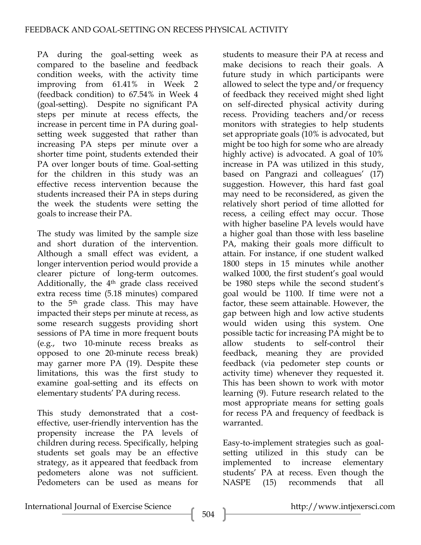PA during the goal-setting week as compared to the baseline and feedback condition weeks, with the activity time improving from 61.41% in Week 2 (feedback condition) to 67.54% in Week 4 (goal-setting). Despite no significant PA steps per minute at recess effects, the increase in percent time in PA during goalsetting week suggested that rather than increasing PA steps per minute over a shorter time point, students extended their PA over longer bouts of time. Goal-setting for the children in this study was an effective recess intervention because the students increased their PA in steps during the week the students were setting the goals to increase their PA.

The study was limited by the sample size and short duration of the intervention. Although a small effect was evident, a longer intervention period would provide a clearer picture of long-term outcomes. Additionally, the 4<sup>th</sup> grade class received extra recess time (5.18 minutes) compared to the 5<sup>th</sup> grade class. This may have impacted their steps per minute at recess, as some research suggests providing short sessions of PA time in more frequent bouts (e.g., two 10-minute recess breaks as opposed to one 20-minute recess break) may garner more PA (19). Despite these limitations, this was the first study to examine goal-setting and its effects on elementary students' PA during recess.

This study demonstrated that a costeffective, user-friendly intervention has the propensity increase the PA levels of children during recess. Specifically, helping students set goals may be an effective strategy, as it appeared that feedback from pedometers alone was not sufficient. Pedometers can be used as means for

students to measure their PA at recess and make decisions to reach their goals. A future study in which participants were allowed to select the type and/or frequency of feedback they received might shed light on self-directed physical activity during recess. Providing teachers and/or recess monitors with strategies to help students set appropriate goals (10% is advocated, but might be too high for some who are already highly active) is advocated. A goal of 10% increase in PA was utilized in this study, based on Pangrazi and colleagues' (17) suggestion. However, this hard fast goal may need to be reconsidered, as given the relatively short period of time allotted for recess, a ceiling effect may occur. Those with higher baseline PA levels would have a higher goal than those with less baseline PA, making their goals more difficult to attain. For instance, if one student walked 1800 steps in 15 minutes while another walked 1000, the first student's goal would be 1980 steps while the second student's goal would be 1100. If time were not a factor, these seem attainable. However, the gap between high and low active students would widen using this system. One possible tactic for increasing PA might be to allow students to self-control their feedback, meaning they are provided feedback (via pedometer step counts or activity time) whenever they requested it. This has been shown to work with motor learning (9). Future research related to the most appropriate means for setting goals for recess PA and frequency of feedback is warranted.

Easy-to-implement strategies such as goalsetting utilized in this study can be implemented to increase elementary students' PA at recess. Even though the NASPE (15) recommends that all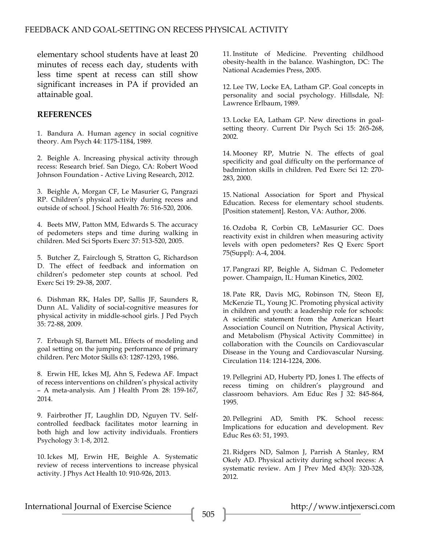elementary school students have at least 20 minutes of recess each day, students with less time spent at recess can still show significant increases in PA if provided an attainable goal.

#### **REFERENCES**

1. Bandura A. Human agency in social cognitive theory. Am Psych 44: 1175-1184, 1989.

2. Beighle A. Increasing physical activity through recess: Research brief. San Diego, CA: Robert Wood Johnson Foundation - Active Living Research, 2012.

3. Beighle A, Morgan CF, Le Masurier G, Pangrazi RP. Children's physical activity during recess and outside of school. J School Health 76: 516-520, 2006.

4. Beets MW, Patton MM, Edwards S. The accuracy of pedometers steps and time during walking in children. Med Sci Sports Exerc 37: 513-520, 2005.

5. Butcher Z, Fairclough S, Stratton G, Richardson D. The effect of feedback and information on children's pedometer step counts at school. Ped Exerc Sci 19: 29-38, 2007.

6. Dishman RK, Hales DP, Sallis JF, Saunders R, Dunn AL. Validity of social-cognitive measures for physical activity in middle-school girls. J Ped Psych 35: 72-88, 2009.

7. Erbaugh SJ, Barnett ML. Effects of modeling and goal setting on the jumping performance of primary children. Perc Motor Skills 63: 1287-1293, 1986.

8. Erwin HE, Ickes MJ, Ahn S, Fedewa AF. Impact of recess interventions on children's physical activity – A meta-analysis. Am J Health Prom 28: 159-167, 2014.

9. Fairbrother JT, Laughlin DD, Nguyen TV. Selfcontrolled feedback facilitates motor learning in both high and low activity individuals. Frontiers Psychology 3: 1-8, 2012.

10. Ickes MJ, Erwin HE, Beighle A. Systematic review of recess interventions to increase physical activity. J Phys Act Health 10: 910-926, 2013.

11. Institute of Medicine. Preventing childhood obesity-health in the balance. Washington, DC: The National Academies Press, 2005.

12. Lee TW, Locke EA, Latham GP. Goal concepts in personality and social psychology. Hillsdale, NJ: Lawrence Erlbaum, 1989.

13. Locke EA, Latham GP. New directions in goalsetting theory. Current Dir Psych Sci 15: 265-268, 2002.

14. Mooney RP, Mutrie N. The effects of goal specificity and goal difficulty on the performance of badminton skills in children. Ped Exerc Sci 12: 270- 283, 2000.

15. National Association for Sport and Physical Education. Recess for elementary school students. [Position statement]. Reston, VA: Author, 2006.

16. Ozdoba R, Corbin CB, LeMasurier GC. Does reactivity exist in children when measuring activity levels with open pedometers? Res Q Exerc Sport 75(Suppl): A-4, 2004.

17. Pangrazi RP, Beighle A, Sidman C. Pedometer power. Champaign, IL: Human Kinetics, 2002.

18. Pate RR, Davis MG, Robinson TN, Steon EJ, McKenzie TL, Young JC. Promoting physical activity in children and youth: a leadership role for schools: A scientific statement from the American Heart Association Council on Nutrition, Physical Activity, and Metabolism (Physical Activity Committee) in collaboration with the Councils on Cardiovascular Disease in the Young and Cardiovascular Nursing. Circulation 114: 1214-1224, 2006.

19. Pellegrini AD, Huberty PD, Jones I. The effects of recess timing on children's playground and classroom behaviors. Am Educ Res J 32: 845-864, 1995.

20. Pellegrini AD, Smith PK. School recess: Implications for education and development. Rev Educ Res 63: 51, 1993.

21. Ridgers ND, Salmon J, Parrish A Stanley, RM Okely AD. Physical activity during school recess: A systematic review. Am J Prev Med 43(3): 320-328, 2012.